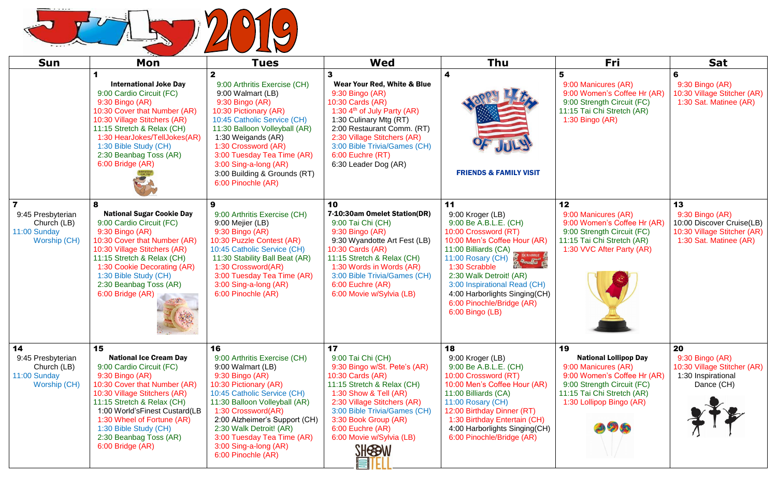

| <b>Sun</b>                                                             | Mon                                                                                                                                                                                                                                                                                                                          | <b>Tues</b>                                                                                                                                                                                                                                                                                                                        | <b>Wed</b>                                                                                                                                                                                                                                                                                 | Thu                                                                                                                                                                                                                                                                                                                                  | Fri                                                                                                                                                                              | <b>Sat</b>                                                                                                  |
|------------------------------------------------------------------------|------------------------------------------------------------------------------------------------------------------------------------------------------------------------------------------------------------------------------------------------------------------------------------------------------------------------------|------------------------------------------------------------------------------------------------------------------------------------------------------------------------------------------------------------------------------------------------------------------------------------------------------------------------------------|--------------------------------------------------------------------------------------------------------------------------------------------------------------------------------------------------------------------------------------------------------------------------------------------|--------------------------------------------------------------------------------------------------------------------------------------------------------------------------------------------------------------------------------------------------------------------------------------------------------------------------------------|----------------------------------------------------------------------------------------------------------------------------------------------------------------------------------|-------------------------------------------------------------------------------------------------------------|
|                                                                        | <b>International Joke Day</b><br>9:00 Cardio Circuit (FC)<br>9:30 Bingo (AR)<br>10:30 Cover that Number (AR)<br>10:30 Village Stitchers (AR)<br>11:15 Stretch & Relax (CH)<br>1:30 HearJokes/TellJokes(AR)<br>1:30 Bible Study (CH)<br>2:30 Beanbag Toss (AR)<br>6:00 Bridge (AR)                                            | 9:00 Arthritis Exercise (CH)<br>9:00 Walmart (LB)<br>9:30 Bingo (AR)<br>10:30 Pictionary (AR)<br>10:45 Catholic Service (CH)<br>11:30 Balloon Volleyball (AR)<br>1:30 Weigands (AR)<br>1:30 Crossword (AR)<br>3:00 Tuesday Tea Time (AR)<br>3:00 Sing-a-long (AR)<br>3:00 Building & Grounds (RT)<br>6:00 Pinochle (AR)            | Wear Your Red, White & Blue<br>9:30 Bingo (AR)<br>10:30 Cards (AR)<br>1:30 $4th$ of July Party (AR)<br>1:30 Culinary Mtg (RT)<br>2:00 Restaurant Comm. (RT)<br>2:30 Village Stitchers (AR)<br>3:00 Bible Trivia/Games (CH)<br>6:00 Euchre (RT)<br>6:30 Leader Dog (AR)                     | <b>FRIENDS &amp; FAMILY VISIT</b>                                                                                                                                                                                                                                                                                                    | 9:00 Manicures (AR)<br>9:00 Women's Coffee Hr (AR)<br>9:00 Strength Circuit (FC)<br>11:15 Tai Chi Stretch (AR)<br>$1:30$ Bingo (AR)                                              | 6<br>9:30 Bingo (AR)<br>10:30 Village Stitcher (AR)<br>1:30 Sat. Matinee (AR)                               |
| 9:45 Presbyterian<br>Church (LB)<br>11:00 Sunday<br>Worship (CH)       | 8<br><b>National Sugar Cookie Day</b><br>9:00 Cardio Circuit (FC)<br>$9:30$ Bingo (AR)<br>10:30 Cover that Number (AR)<br>10:30 Village Stitchers (AR)<br>11:15 Stretch & Relax (CH)<br>1:30 Cookie Decorating (AR)<br>1:30 Bible Study (CH)<br>2:30 Beanbag Toss (AR)<br>6:00 Bridge (AR)                                   | 9<br>9:00 Arthritis Exercise (CH)<br>9:00 Mejier (LB)<br>9:30 Bingo (AR)<br>10:30 Puzzle Contest (AR)<br>10:45 Catholic Service (CH)<br>11:30 Stability Ball Beat (AR)<br>1:30 Crossword(AR)<br>3:00 Tuesday Tea Time (AR)<br>3:00 Sing-a-long (AR)<br>6:00 Pinochle (AR)                                                          | 10<br>7-10:30am Omelet Station(DR)<br>9:00 Tai Chi (CH)<br>9:30 Bingo (AR)<br>9:30 Wyandotte Art Fest (LB)<br>10:30 Cards (AR)<br>11:15 Stretch & Relax (CH)<br>1:30 Words in Words (AR)<br>3:00 Bible Trivia/Games (CH)<br>6:00 Euchre (AR)<br>6:00 Movie w/Sylvia (LB)                   | 11<br>9:00 Kroger (LB)<br>9:00 Be A.B.L.E. (CH)<br>10:00 Crossword (RT)<br>10:00 Men's Coffee Hour (AR)<br>11:00 Billiards (CA)<br><b>SCRABBLE</b><br>11:00 Rosary (CH)<br>1:30 Scrabble<br>2:30 Walk Detroit! (AR)<br>3:00 Inspirational Read (CH)<br>4:00 Harborlights Singing(CH)<br>6:00 Pinochle/Bridge (AR)<br>6:00 Bingo (LB) | 12<br>9:00 Manicures (AR)<br>9:00 Women's Coffee Hr (AR)<br>9:00 Strength Circuit (FC)<br>11:15 Tai Chi Stretch (AR)<br>1:30 VVC After Party (AR)                                | 13<br>9:30 Bingo (AR)<br>10:00 Discover Cruise(LB)<br>10:30 Village Stitcher (AR)<br>1:30 Sat. Matinee (AR) |
| 14<br>9:45 Presbyterian<br>Church (LB)<br>11:00 Sunday<br>Worship (CH) | 15<br><b>National Ice Cream Day</b><br>9:00 Cardio Circuit (FC)<br>$9:30$ Bingo $(AR)$<br>10:30 Cover that Number (AR)<br>10:30 Village Stitchers (AR)<br>11:15 Stretch & Relax (CH)<br>1:00 World's Finest Custard (LB<br>1:30 Wheel of Fortune (AR)<br>1:30 Bible Study (CH)<br>2:30 Beanbag Toss (AR)<br>6:00 Bridge (AR) | 16<br>9:00 Arthritis Exercise (CH)<br>9:00 Walmart (LB)<br>9:30 Bingo (AR)<br>10:30 Pictionary (AR)<br>10:45 Catholic Service (CH)<br>11:30 Balloon Volleyball (AR)<br>1:30 Crossword(AR)<br>2:00 Alzheimer's Support (CH)<br>2:30 Walk Detroit! (AR)<br>3:00 Tuesday Tea Time (AR)<br>3:00 Sing-a-long (AR)<br>6:00 Pinochle (AR) | 17<br>9:00 Tai Chi (CH)<br>9:30 Bingo w/St. Pete's (AR)<br>10:30 Cards (AR)<br>11:15 Stretch & Relax (CH)<br>1:30 Show & Tell (AR)<br>2:30 Village Stitchers (AR)<br>3:00 Bible Trivia/Games (CH)<br>3:30 Book Group (AR)<br>6:00 Euchre (AR)<br>6:00 Movie w/Sylvia (LB)<br><b>SHESBW</b> | 18<br>9:00 Kroger (LB)<br>9:00 Be A.B.L.E. (CH)<br>10:00 Crossword (RT)<br>10:00 Men's Coffee Hour (AR)<br>11:00 Billiards (CA)<br>11:00 Rosary (CH)<br>12:00 Birthday Dinner (RT)<br>1:30 Birthday Entertain (CH)<br>4:00 Harborlights Singing(CH)<br>6:00 Pinochle/Bridge (AR)                                                     | 19<br><b>National Lollipop Day</b><br>9:00 Manicures (AR)<br>9:00 Women's Coffee Hr (AR)<br>9:00 Strength Circuit (FC)<br>11:15 Tai Chi Stretch (AR)<br>1:30 Lollipop Bingo (AR) | 20<br>$9:30$ Bingo (AR)<br>10:30 Village Stitcher (AR)<br>1:30 Inspirational<br>Dance (CH)                  |